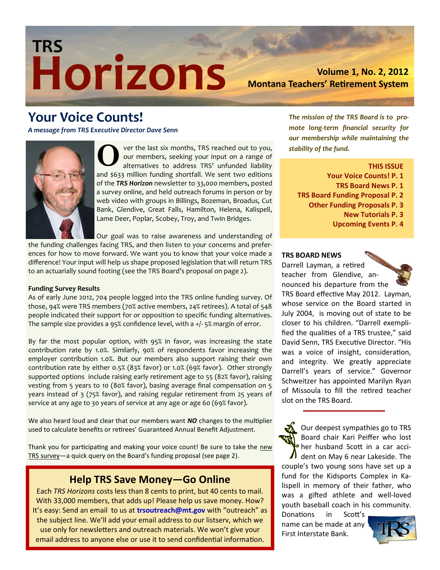# **Horizons TRS**

**Volume 1, No. 2, 2012 Montana Teachers' Retirement System** 

## **Your Voice Counts!**

*A message from TRS Executive Director Dave Senn*



ver the last six months, TRS reached out to you, our members, seeking your input on a range of alternatives to address TRS' unfunded liability and \$633 million funding shortfall. We sent two editions of the *TRS Horizon* newsletter to 33,000 members, posted a survey online, and held outreach forums in person or by web video with groups in Billings, Bozeman, Broadus, Cut Bank, Glendive, Great Falls, Hamilton, Helena, Kalispell, Lame Deer, Poplar, Scobey, Troy, and Twin Bridges.  $\bigodot$  all

Our goal was to raise awareness and understanding of the funding challenges facing TRS, and then listen to your concerns and preferences for how to move forward. We want you to know that your voice made a difference! Your input will help us shape proposed legislation that will return TRS to an actuarially sound footing (see the TRS Board's proposal on page 2).

#### **Funding Survey Results**

As of early June 2012, 704 people logged into the TRS online funding survey. Of those, 94% were TRS members (70% active members, 24% retirees). A total of 548 people indicated their support for or opposition to specific funding alternatives. The sample size provides a 95% confidence level, with a +/- 5% margin of error.

By far the most popular option, with 95% in favor, was increasing the state contribution rate by 1.0%. Similarly, 90% of respondents favor increasing the employer contribution 1.0%. But our members also support raising their own contribution rate by either 0.5% (83% favor) or 1.0% (69% favor). Other strongly supported options include raising early retirement age to 55 (82% favor), raising vesting from 5 years to 10 (80% favor), basing average final compensation on 5 years instead of 3 (75% favor), and raising regular retirement from 25 years of service at any age to 30 years of service at any age or age 60 (69% favor).

We also heard loud and clear that our members want *NO* changes to the multiplier used to calculate benefits or retirees' Guaranteed Annual Benefit Adjustment.

Thank you for participating and making your voice count! Be sure to take the new TRS survey—a quick query on the Board's funding proposal (see page 2).

## **Help TRS Save Money—Go Online**

Each *TRS Horizons* costs less than 8 cents to print, but 40 cents to mail. With 33,000 members, that adds up! Please help us save money. How? It's easy: Send an email to us at **trsoutreach@mt.gov** with "outreach" as the subject line. We'll add your email address to our listserv, which we use only for newsletters and outreach materials. We won't give your email address to anyone else or use it to send confidential information.

*The mission of the TRS Board is to promote long-term financial security for our membership while maintaining the stability of the fund.*

**THIS ISSUE**

- **Your Voice Counts! P. 1**
- **TRS Board News P. 1**
- **TRS Board Funding Proposal P. 2**
	- **Other Funding Proposals P. 3**
		- **New Tutorials P. 3**
		- **Upcoming Events P. 4**

#### **TRS BOARD NEWS**

Darrell Layman, a retired teacher from Glendive, announced his departure from the



TRS Board effective May 2012. Layman, whose service on the Board started in July 2004, is moving out of state to be closer to his children. "Darrell exemplified the qualities of a TRS trustee," said David Senn, TRS Executive Director. "His was a voice of insight, consideration, and integrity. We greatly appreciate Darrell's years of service." Governor Schweitzer has appointed Marilyn Ryan of Missoula to fill the retired teacher slot on the TRS Board.

Our deepest sympathies go to TRS Board chair Kari Peiffer who lost her husband Scott in a car accident on May 6 near Lakeside. The couple's two young sons have set up a fund for the Kidsports Complex in Kalispell in memory of their father, who was a gifted athlete and well-loved youth baseball coach in his community.

Donations in Scott's name can be made at any First Interstate Bank.

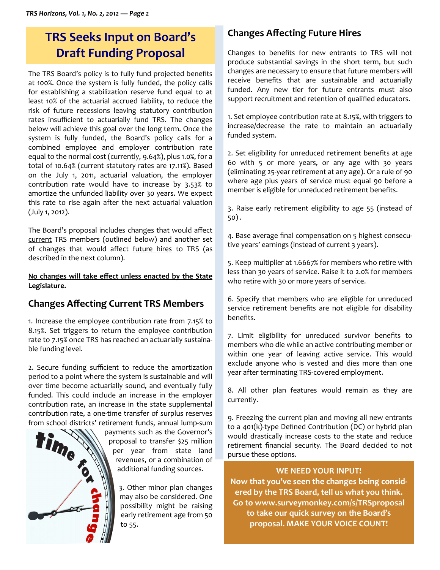## **TRS Seeks Input on Board's Draft Funding Proposal**

The TRS Board's policy is to fully fund projected benefits at 100%. Once the system is fully funded, the policy calls for establishing a stabilization reserve fund equal to at least 10% of the actuarial accrued liability, to reduce the risk of future recessions leaving statutory contribution rates insufficient to actuarially fund TRS. The changes below will achieve this goal over the long term. Once the system is fully funded, the Board's policy calls for a combined employee and employer contribution rate equal to the normal cost (currently, 9.64%), plus 1.0%, for a total of 10.64% (current statutory rates are 17.11%). Based on the July 1, 2011, actuarial valuation, the employer contribution rate would have to increase by 3.53% to amortize the unfunded liability over 30 years. We expect this rate to rise again after the next actuarial valuation (July 1, 2012).

The Board's proposal includes changes that would affect current TRS members (outlined below) and another set of changes that would affect future hires to TRS (as described in the next column).

#### **No changes will take effect unless enacted by the State Legislature.**

## **Changes Affecting Current TRS Members**

1. Increase the employee contribution rate from 7.15% to 8.15%. Set triggers to return the employee contribution rate to 7.15% once TRS has reached an actuarially sustainable funding level.

2. Secure funding sufficient to reduce the amortization period to a point where the system is sustainable and will over time become actuarially sound, and eventually fully funded. This could include an increase in the employer contribution rate, an increase in the state supplemental contribution rate, a one-time transfer of surplus reserves



payments such as the Governor's proposal to transfer \$25 million per year from state land revenues, or a combination of additional funding sources.

> 3. Other minor plan changes may also be considered. One possibility might be raising early retirement age from 50 to 55.

## **Changes Affecting Future Hires**

Changes to benefits for new entrants to TRS will not produce substantial savings in the short term, but such changes are necessary to ensure that future members will receive benefits that are sustainable and actuarially funded. Any new tier for future entrants must also support recruitment and retention of qualified educators.

1. Set employee contribution rate at 8.15%, with triggers to increase/decrease the rate to maintain an actuarially funded system.

2. Set eligibility for unreduced retirement benefits at age 60 with 5 or more years, or any age with 30 years (eliminating 25-year retirement at any age). Or a rule of 90 where age plus years of service must equal 90 before a member is eligible for unreduced retirement benefits.

3. Raise early retirement eligibility to age 55 (instead of 50) .

4. Base average final compensation on 5 highest consecutive years' earnings (instead of current 3 years).

5. Keep multiplier at 1.6667% for members who retire with less than 30 years of service. Raise it to 2.0% for members who retire with 30 or more years of service.

6. Specify that members who are eligible for unreduced service retirement benefits are not eligible for disability benefits.

7. Limit eligibility for unreduced survivor benefits to members who die while an active contributing member or within one year of leaving active service. This would exclude anyone who is vested and dies more than one year after terminating TRS-covered employment.

8. All other plan features would remain as they are currently.

9. Freezing the current plan and moving all new entrants to a 401(k)-type Defined Contribution (DC) or hybrid plan would drastically increase costs to the state and reduce retirement financial security. The Board decided to not pursue these options.

#### **WE NEED YOUR INPUT!**

**Now that you've seen the changes being considered by the TRS Board, tell us what you think. Go to www.surveymonkey.com/s/TRSproposal to take our quick survey on the Board's proposal. MAKE YOUR VOICE COUNT!**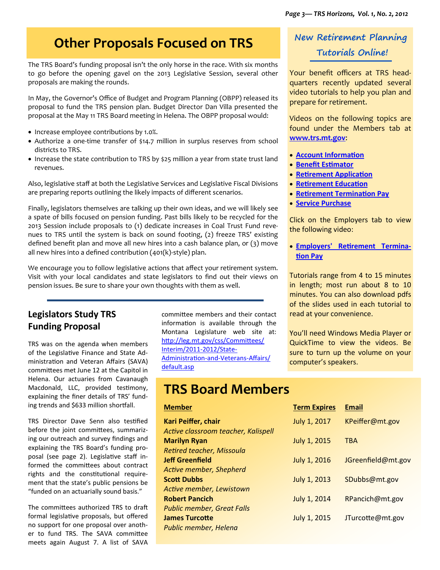## **Other Proposals Focused on TRS**

The TRS Board's funding proposal isn't the only horse in the race. With six months to go before the opening gavel on the 2013 Legislative Session, several other proposals are making the rounds.

In May, the Governor's Office of Budget and Program Planning (OBPP) released its proposal to fund the TRS pension plan. Budget Director Dan Villa presented the proposal at the May 11 TRS Board meeting in Helena. The OBPP proposal would:

- Increase employee contributions by 1.0%.
- Authorize a one-time transfer of \$14.7 million in surplus reserves from school districts to TRS.
- Increase the state contribution to TRS by \$25 million a year from state trust land revenues.

Also, legislative staff at both the Legislative Services and Legislative Fiscal Divisions are preparing reports outlining the likely impacts of different scenarios.

Finally, legislators themselves are talking up their own ideas, and we will likely see a spate of bills focused on pension funding. Past bills likely to be recycled for the 2013 Session include proposals to (1) dedicate increases in Coal Trust Fund revenues to TRS until the system is back on sound footing, (2) freeze TRS' existing defined benefit plan and move all new hires into a cash balance plan, or (3) move all new hires into a defined contribution (401(k)-style) plan.

We encourage you to follow legislative actions that affect your retirement system. Visit with your local candidates and state legislators to find out their views on pension issues. Be sure to share your own thoughts with them as well.

### **Legislators Study TRS Funding Proposal**

TRS was on the agenda when members of the Legislative Finance and State Administration and Veteran Affairs (SAVA) committees met June 12 at the Capitol in Helena. Our actuaries from Cavanaugh Macdonald, LLC, provided testimony, explaining the finer details of TRS' funding trends and \$633 million shortfall.

TRS Director Dave Senn also testified before the joint committees, summarizing our outreach and survey findings and explaining the TRS Board's funding proposal (see page 2). Legislative staff informed the committees about contract rights and the constitutional requirement that the state's public pensions be "funded on an actuarially sound basis."

The committees authorized TRS to draft formal legislative proposals, but offered no support for one proposal over another to fund TRS. The SAVA committee meets again August 7. A list of SAVA committee members and their contact information is available through the Montana Legislature web site at: http://leg.mt.gov/css/Committees/ Interim/2011-2012/State-Administration-and-Veterans-Affairs/ default.asp

## **TRS Board Members**

#### **Member**

**Kari Peiffer, chair** *Active classroom teacher, Kalispell* **Marilyn Ryan** *Retired teacher, Missoula* **Jeff Greenfield** *Active member, Shepherd* **Scott Dubbs** *Active member, Lewistown* **Robert Pancich** *Public member, Great Falls* **James Turcotte** *Public member, Helena*

## **New Retirement Planning Tutorials Online!**

Your benefit officers at TRS headquarters recently updated several video tutorials to help you plan and prepare for retirement.

Videos on the following topics are found under the Members tab at **www.trs.mt.gov**:

- **Account Information**
- **Benefit Estimator**
- **Retirement Application**
- **Retirement Education**
- **Retirement Termination Pay**
- **Service Purchase**

Click on the Employers tab to view the following video:

 **Employers' Retirement Termination Pay**

Tutorials range from 4 to 15 minutes in length; most run about 8 to 10 minutes. You can also download pdfs of the slides used in each tutorial to read at your convenience.

You'll need Windows Media Player or QuickTime to view the videos. Be sure to turn up the volume on your computer's speakers.

| <b>Term Expires</b> | Email              |
|---------------------|--------------------|
| July 1, 2017        | KPeiffer@mt.gov    |
| July 1, 2015        | <b>TRA</b>         |
| July 1, 2016        | JGreenfield@mt.gov |
| <b>July 1, 2013</b> | SDubbs@mt.gov      |
| July 1, 2014        | RPancich@mt.gov    |
| <b>July 1, 2015</b> | JTurcotte@mt.gov   |